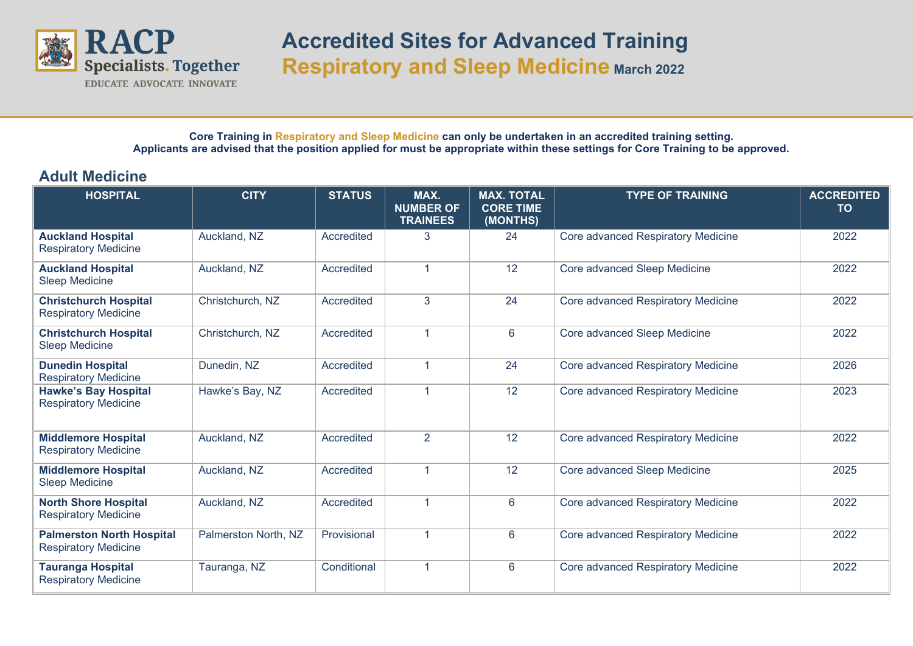

## **Accredited Sites for Advanced Training Respiratory and Sleep Medicine March 2022**

**Core Training in Respiratory and Sleep Medicine can only be undertaken in an accredited training setting. Applicants are advised that the position applied for must be appropriate within these settings for Core Training to be approved.**

## **Adult Medicine**

| <b>HOSPITAL</b>                                                 | <b>CITY</b>          | <b>STATUS</b> | MAX.<br><b>NUMBER OF</b><br><b>TRAINEES</b> | <b>MAX. TOTAL</b><br><b>CORE TIME</b><br>(MONTHS) | <b>TYPE OF TRAINING</b>            | <b>ACCREDITED</b><br><b>TO</b> |
|-----------------------------------------------------------------|----------------------|---------------|---------------------------------------------|---------------------------------------------------|------------------------------------|--------------------------------|
| <b>Auckland Hospital</b><br><b>Respiratory Medicine</b>         | Auckland, NZ         | Accredited    | 3                                           | 24                                                | Core advanced Respiratory Medicine | 2022                           |
| <b>Auckland Hospital</b><br><b>Sleep Medicine</b>               | Auckland, NZ         | Accredited    | $\overline{1}$                              | 12                                                | Core advanced Sleep Medicine       | 2022                           |
| <b>Christchurch Hospital</b><br><b>Respiratory Medicine</b>     | Christchurch, NZ     | Accredited    | 3                                           | 24                                                | Core advanced Respiratory Medicine | 2022                           |
| <b>Christchurch Hospital</b><br><b>Sleep Medicine</b>           | Christchurch, NZ     | Accredited    | $\overline{1}$                              | 6                                                 | Core advanced Sleep Medicine       | 2022                           |
| <b>Dunedin Hospital</b><br><b>Respiratory Medicine</b>          | Dunedin, NZ          | Accredited    | $\overline{1}$                              | 24                                                | Core advanced Respiratory Medicine | 2026                           |
| <b>Hawke's Bay Hospital</b><br><b>Respiratory Medicine</b>      | Hawke's Bay, NZ      | Accredited    | 1                                           | 12                                                | Core advanced Respiratory Medicine | 2023                           |
| <b>Middlemore Hospital</b><br><b>Respiratory Medicine</b>       | Auckland, NZ         | Accredited    | $\overline{2}$                              | 12                                                | Core advanced Respiratory Medicine | 2022                           |
| <b>Middlemore Hospital</b><br><b>Sleep Medicine</b>             | Auckland, NZ         | Accredited    | 1                                           | 12                                                | Core advanced Sleep Medicine       | 2025                           |
| <b>North Shore Hospital</b><br><b>Respiratory Medicine</b>      | Auckland, NZ         | Accredited    | 1                                           | $6\phantom{1}$                                    | Core advanced Respiratory Medicine | 2022                           |
| <b>Palmerston North Hospital</b><br><b>Respiratory Medicine</b> | Palmerston North, NZ | Provisional   | 1                                           | 6                                                 | Core advanced Respiratory Medicine | 2022                           |
| <b>Tauranga Hospital</b><br><b>Respiratory Medicine</b>         | Tauranga, NZ         | Conditional   | 1                                           | 6                                                 | Core advanced Respiratory Medicine | 2022                           |